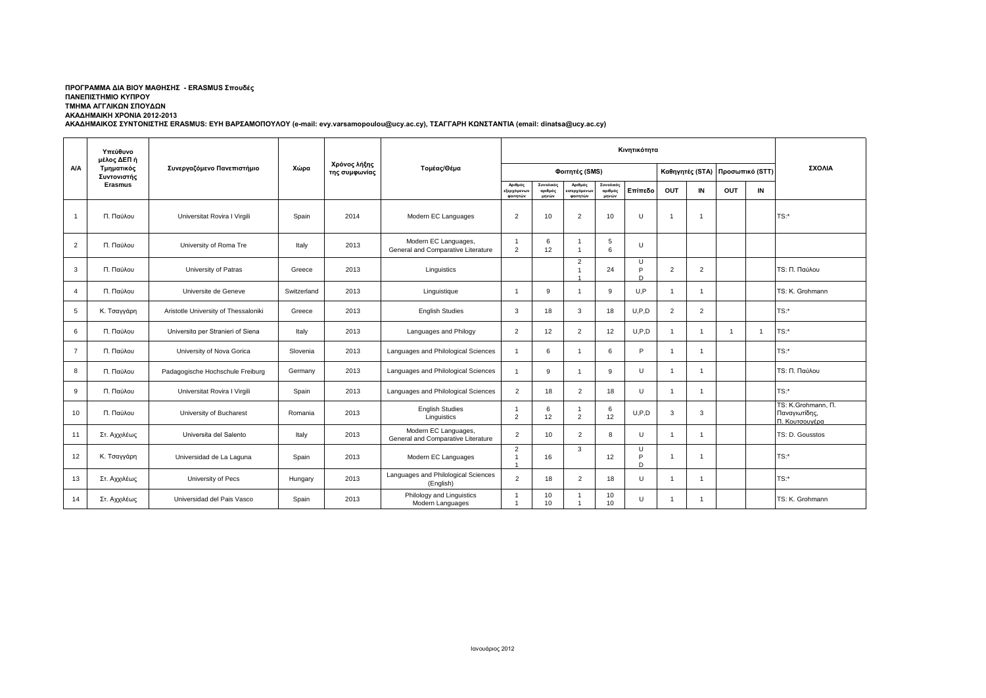## **ΠΡΟΓΡΑΜΜΑ ΔΙΑ ΒΙΟΥ ΜΑΘΗΣΗΣ - ERASMUS Σπουδές ΠΑΝΕΠΙΣΤΗΜΙΟ ΚΥΠΡΟΥ ΤΜΗΜΑ ΑΓΓΛΙΚΩΝ ΣΠΟΥΔΩΝ ΑΚΑΔΗΜΑΙΚΗ ΧΡΟΝΙΑ 2012-2013**

**ΑΚΑΔΗΜΑΙΚΟΣ ΣΥΝΤΟΝΙΣΤΗΣ ERASMUS: ΕΥΗ ΒΑΡΣΑΜΟΠΟΥΛΟΥ (e-mail: evy.varsamopoulou@ucy.ac.cy), ΤΣΑΓΓΑΡΗ ΚΩΝΣΤΑΝΤΙΑ (email: dinatsa@ucy.ac.cy)**

|                | Υπεύθυνο<br>μέλος ΔΕΠ ή<br>Τμηματικός<br>Συντονιστής<br><b>Erasmus</b> | Συνεργαζόμενο Πανεπιστήμιο           |             | Χρόνος λήξης<br>της συμφωνίας | Τομέας/Θέμα                                                |                                      |                               |                                   |                               |                   |                |                 |                 |    |                                                                  |
|----------------|------------------------------------------------------------------------|--------------------------------------|-------------|-------------------------------|------------------------------------------------------------|--------------------------------------|-------------------------------|-----------------------------------|-------------------------------|-------------------|----------------|-----------------|-----------------|----|------------------------------------------------------------------|
| <b>A/A</b>     |                                                                        |                                      | Χώρα        |                               |                                                            | Φοιτητές (SMS)                       |                               |                                   |                               |                   |                | Καθηγητές (STA) | Προσωπικό (STT) |    | ΣΧΟΛΙΑ                                                           |
|                |                                                                        |                                      |             |                               |                                                            | Αριθμός<br>εξερχόμενω<br>φοιτητών    | Συνολικός<br>αριθμός<br>μηνών | Αριθμός<br>ισερχόμενω<br>φοιτητών | Συνολικός<br>αριθμός<br>μηνών | Επίπεδο           | OUT            | IN              | OUT             | IN |                                                                  |
| $\overline{1}$ | Π. Παύλου                                                              | Universitat Rovira I Virgili         | Spain       | 2014                          | Modern EC Languages                                        | $\overline{2}$                       | 10                            | 2                                 | 10                            | u                 |                | -1              |                 |    | $TS:$ *                                                          |
| 2              | Π. Παύλου                                                              | University of Roma Tre               | Italy       | 2013                          | Modern EC Languages,<br>General and Comparative Literature | $\mathbf{1}$<br>$\overline{2}$       | 6<br>12                       | $\overline{1}$                    | 5<br>6                        | $\cup$            |                |                 |                 |    |                                                                  |
| 3              | Π. Παύλου                                                              | University of Patras                 | Greece      | 2013                          | Linguistics                                                |                                      |                               | $\overline{2}$                    | 24                            | Ш<br>D            | $\overline{2}$ | $\overline{2}$  |                 |    | TS: Π. Παύλου                                                    |
| $\overline{4}$ | Π. Παύλου                                                              | Universite de Geneve                 | Switzerland | 2013                          | Linguistique                                               | $\overline{1}$                       | 9                             | $\overline{1}$                    | 9                             | U.P               |                |                 |                 |    | TS: K. Grohmann                                                  |
| 5              | Κ. Τσαγγάρη                                                            | Aristotle University of Thessaloniki | Greece      | 2013                          | <b>English Studies</b>                                     | 3                                    | 18                            | 3                                 | 18                            | U, P, D           | 2              | $\overline{2}$  |                 |    | TS:*                                                             |
| 6              | Π. Παύλου                                                              | Universita per Stranieri of Siena    | Italy       | 2013                          | Languages and Philogy                                      | 2                                    | 12                            | $\overline{2}$                    | 12                            | U.P.D             | 1              |                 | -1              | -1 | TS:*                                                             |
| $\overline{7}$ | Π. Παύλου                                                              | University of Nova Gorica            | Slovenia    | 2013                          | Languages and Philological Sciences                        | $\mathbf{1}$                         | 6                             | $\overline{1}$                    | 6                             | D                 |                | -1              |                 |    | $TS:$ *                                                          |
| 8              | Π. Παύλου                                                              | Padagogische Hochschule Freiburg     | Germany     | 2013                          | Languages and Philological Sciences                        | $\mathbf{1}$                         | 9                             | $\overline{1}$                    | 9                             | $\cup$            |                |                 |                 |    | TS: Π. Παύλου                                                    |
| 9              | Π. Παύλου                                                              | Universitat Rovira I Virgili         | Spain       | 2013                          | Languages and Philological Sciences                        | 2                                    | 18                            | 2                                 | 18                            | $\cup$            |                |                 |                 |    | $TS:$ *                                                          |
| 10             | Π. Παύλου                                                              | University of Bucharest              | Romania     | 2013                          | <b>English Studies</b><br>Linguistics                      | $\mathbf{1}$<br>2                    | 6<br>12                       | $\overline{1}$<br>$\overline{2}$  | 6<br>12                       | U.P.D             | 3              | 3               |                 |    | TS: K.Grohmann, <sub>Π.</sub><br>Παναγιωτίδης,<br>Π. Κουτσουνέρα |
| 11             | Στ. Αχχιλέως                                                           | Universita del Salento               | Italy       | 2013                          | Modern EC Languages,<br>General and Comparative Literature | 2                                    | 10                            | 2                                 | 8                             | $\cup$            | -1             | -1              |                 |    | TS: D. Gousstos                                                  |
| 12             | Κ. Τσαγγάρη                                                            | Universidad de La Laguna             | Spain       | 2013                          | Modern EC Languages                                        | $\overline{2}$<br>$\mathbf{1}$<br>-1 | 16                            | 3                                 | 12                            | $\mathbf{H}$<br>D |                |                 |                 |    | TS:*                                                             |
| 13             | Στ. Αχχιλέως                                                           | University of Pecs                   | Hungary     | 2013                          | Languages and Philological Sciences<br>(English)           | 2                                    | 18                            | 2                                 | 18                            | $\cup$            | -1             | -1              |                 |    | $TS:$ *                                                          |
| 14             | Στ. Αχχιλέως                                                           | Universidad del Pais Vasco           | Spain       | 2013                          | Philology and Linguistics<br>Modern Languages              | $\mathbf{1}$<br>$\overline{1}$       | 10<br>10                      |                                   | 10<br>10                      | U                 |                | -1              |                 |    | TS: K. Grohmann                                                  |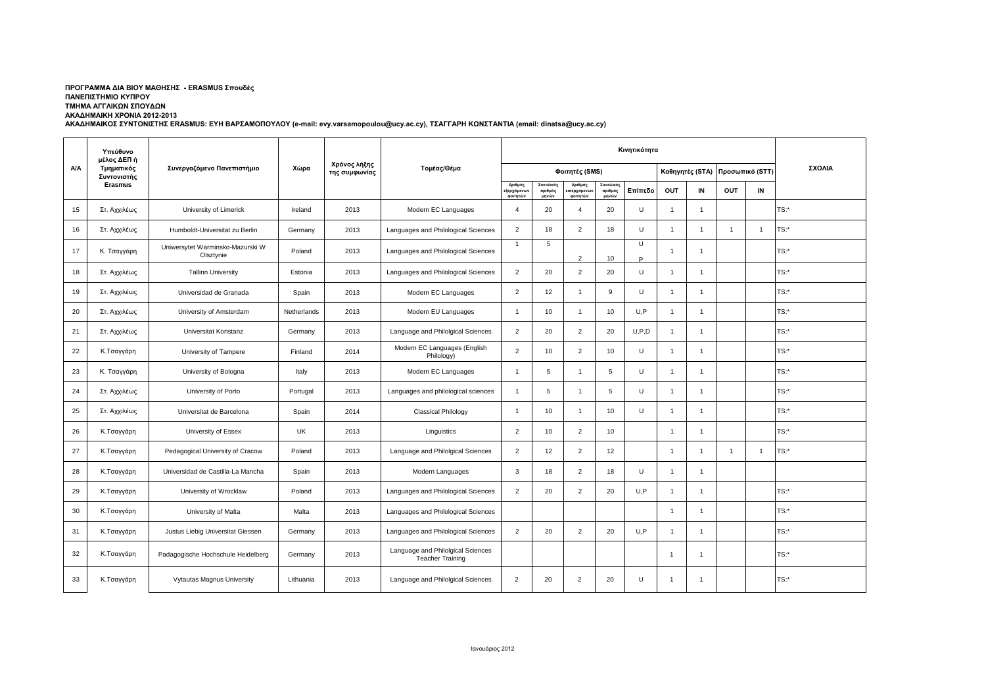## **ΠΡΟΓΡΑΜΜΑ ΔΙΑ ΒΙΟΥ ΜΑΘΗΣΗΣ - ERASMUS Σπουδές ΠΑΝΕΠΙΣΤΗΜΙΟ ΚΥΠΡΟΥ ΤΜΗΜΑ ΑΓΓΛΙΚΩΝ ΣΠΟΥΔΩΝ**

**ΑΚΑΔΗΜΑΙΚΗ ΧΡΟΝΙΑ 2012-2013**

**ΑΚΑΔΗΜΑΙΚΟΣ ΣΥΝΤΟΝΙΣΤΗΣ ERASMUS: ΕΥΗ ΒΑΡΣΑΜΟΠΟΥΛΟΥ (e-mail: evy.varsamopoulou@ucy.ac.cy), ΤΣΑΓΓΑΡΗ ΚΩΝΣΤΑΝΤΙΑ (email: dinatsa@ucy.ac.cy)**

|            | Υπεύθυνο<br>μέλος ΔΕΠ ή<br>Τμηματικός<br>Συντονιστής<br>Erasmus | Συνεργαζόμενο Πανεπιστήμιο                    |             | Χρόνος λήξης<br>της συμφωνίας | Τομέας/Θέμα                                                  | Κινητικότητα                      |                               |                                                 |                               |             |                 |                |                |                 |         |
|------------|-----------------------------------------------------------------|-----------------------------------------------|-------------|-------------------------------|--------------------------------------------------------------|-----------------------------------|-------------------------------|-------------------------------------------------|-------------------------------|-------------|-----------------|----------------|----------------|-----------------|---------|
| <b>A/A</b> |                                                                 |                                               | Χώρα        |                               |                                                              | Φοιτητές (SMS)                    |                               |                                                 |                               |             | Καθηγητές (STA) |                |                | Προσωπικό (STT) | ΣΧΟΛΙΑ  |
|            |                                                                 |                                               |             |                               |                                                              | Αριθμός<br>:ξερχόμενω<br>φοιτητών | Συνολικός<br>αριθμός<br>μηνών | Αριθμός<br>σερχόμε <mark>ν</mark> ω<br>φοιτητών | Συνολικός<br>αριθμός<br>μηνών | Επίπεδο     | OUT             | IN             | OUT            | IN              |         |
| 15         | Στ. Αχχιλέως                                                    | University of Limerick                        | Ireland     | 2013                          | Modern EC Languages                                          | $\overline{4}$                    | 20                            | $\overline{4}$                                  | 20                            | U           | $\overline{1}$  | -1             |                |                 | TS:*    |
| 16         | Στ. Αχχιλέως                                                    | Humboldt-Universitat zu Berlin                | Germany     | 2013                          | Languages and Philological Sciences                          | $\overline{2}$                    | 18                            | $\overline{2}$                                  | 18                            | $\cup$      | $\overline{1}$  | -1             | $\overline{1}$ | $\overline{1}$  | $TS:$ * |
| 17         | Κ. Τσαγγάρη                                                     | Uniwersytet Warminsko-Mazurski W<br>Olsztynie | Poland      | 2013                          | Languages and Philological Sciences                          | $\mathbf{1}$                      | 5                             | $\mathcal{L}$                                   | 10                            | $\cup$<br>D | $\overline{1}$  | $\overline{1}$ |                |                 | TS:*    |
| 18         | Στ. Αχχιλέως                                                    | <b>Tallinn University</b>                     | Estonia     | 2013                          | Languages and Philological Sciences                          | 2                                 | 20                            | $\overline{2}$                                  | 20                            | U           | $\overline{1}$  | $\mathbf{1}$   |                |                 | TS:*    |
| 19         | Στ. Αχχιλέως                                                    | Universidad de Granada                        | Spain       | 2013                          | Modern EC Languages                                          | $\overline{2}$                    | 12                            | $\overline{1}$                                  | 9                             | U           | $\overline{1}$  | $\mathbf{1}$   |                |                 | $TS:$ * |
| 20         | Στ. Αχχιλέως                                                    | University of Amsterdam                       | Netherlands | 2013                          | Modern EU Languages                                          | $\overline{1}$                    | 10                            | $\overline{1}$                                  | 10                            | U.P         | $\overline{1}$  | $\overline{1}$ |                |                 | TS:*    |
| 21         | Στ. Αχχιλέως                                                    | Universitat Konstanz                          | Germany     | 2013                          | Language and Philolgical Sciences                            | 2                                 | 20                            | $\overline{2}$                                  | 20                            | U.P.D       | $\overline{1}$  | $\mathbf{1}$   |                |                 | TS:*    |
| 22         | Κ.Τσαγγάρη                                                      | University of Tampere                         | Finland     | 2014                          | Modern EC Languages (English<br>Philology)                   | 2                                 | 10                            | $\overline{2}$                                  | 10                            | U           | -1              | $\mathbf{1}$   |                |                 | $TS:$ * |
| 23         | Κ. Τσαγγάρη                                                     | University of Bologna                         | Italy       | 2013                          | Modern EC Languages                                          | $\overline{1}$                    | 5                             | $\overline{1}$                                  | 5                             | $\cup$      | $\overline{1}$  | -1             |                |                 | $TS:$ * |
| 24         | Στ. Αχχιλέως                                                    | University of Porto                           | Portugal    | 2013                          | Languages and philological sciences                          | $\overline{1}$                    | 5                             | $\mathbf{1}$                                    | 5                             | U           | 1               | -1             |                |                 | TS:*    |
| 25         | Στ. Αχχιλέως                                                    | Universitat de Barcelona                      | Spain       | 2014                          | <b>Classical Philology</b>                                   | $\overline{1}$                    | 10                            | $\overline{1}$                                  | 10 <sup>1</sup>               | U           | $\overline{1}$  | $\overline{1}$ |                |                 | TS:*    |
| 26         | Κ.Τσαγγάρη                                                      | University of Essex                           | <b>UK</b>   | 2013                          | Linguistics                                                  | $\overline{2}$                    | 10                            | $\overline{2}$                                  | 10                            |             | $\mathbf 1$     | $\mathbf{1}$   |                |                 | TS:*    |
| 27         | Κ.Τσαγγάρη                                                      | Pedagogical University of Cracow              | Poland      | 2013                          | Language and Philolgical Sciences                            | 2                                 | 12                            | $\overline{2}$                                  | 12                            |             | $\overline{1}$  | 1              | $\overline{1}$ | $\overline{1}$  | TS:*    |
| 28         | Κ.Τσαγγάρη                                                      | Universidad de Castilla-La Mancha             | Spain       | 2013                          | Modern Languages                                             | $\mathbf{3}$                      | 18                            | 2                                               | 18                            | $\cup$      | $\overline{1}$  | -1             |                |                 |         |
| 29         | Κ.Τσαγγάρη                                                      | University of Wrocklaw                        | Poland      | 2013                          | Languages and Philological Sciences                          | $\overline{2}$                    | 20                            | $\overline{2}$                                  | 20                            | U,P         | 1               | -1             |                |                 | TS:*    |
| 30         | Κ.Τσαγγάρη                                                      | University of Malta                           | Malta       | 2013                          | Languages and Philological Sciences                          |                                   |                               |                                                 |                               |             | $\overline{1}$  | $\overline{1}$ |                |                 | TS:*    |
| 31         | Κ.Τσαγγάρη                                                      | Justus Liebig Universitat Giessen             | Germany     | 2013                          | Languages and Philological Sciences                          | $\overline{2}$                    | 20                            | $\overline{2}$                                  | 20                            | U.P         | $\overline{1}$  | $\mathbf{1}$   |                |                 | TS:*    |
| 32         | Κ.Τσαγγάρη                                                      | Padagogische Hochschule Heidelberg            | Germany     | 2013                          | Language and Philolgical Sciences<br><b>Teacher Training</b> |                                   |                               |                                                 |                               |             | 1               | -1             |                |                 | TS:*    |
| 33         | Κ.Τσαγγάρη                                                      | Vytautas Magnus University                    | Lithuania   | 2013                          | Language and Philolgical Sciences                            | $\overline{2}$                    | 20                            | 2                                               | 20                            | U           | $\mathbf{1}$    | -1             |                |                 | TS:*    |